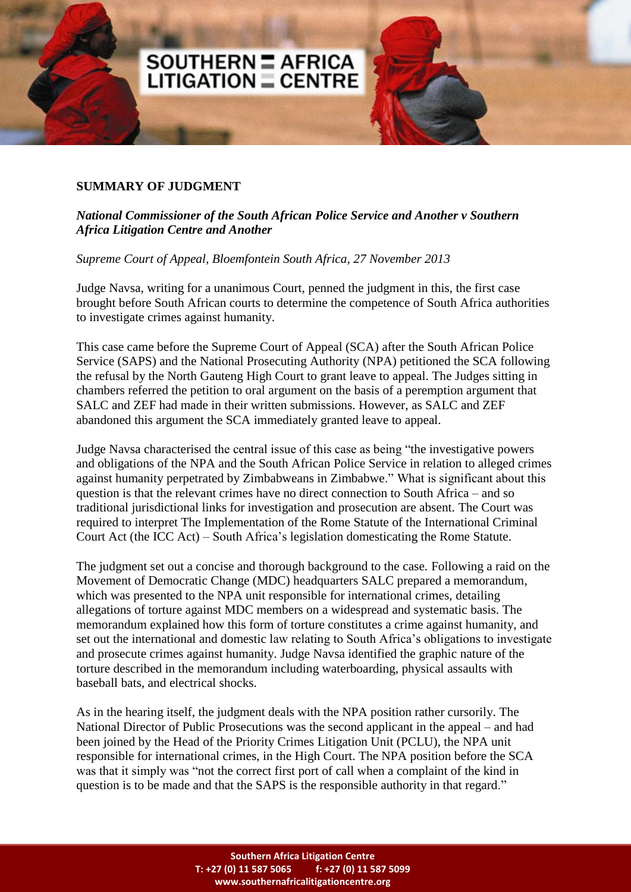## **SUMMARY OF JUDGMENT**

## *National Commissioner of the South African Police Service and Another v Southern Africa Litigation Centre and Another*

*Supreme Court of Appeal, Bloemfontein South Africa, 27 November 2013*

**SOUTHERN = AFRICA**<br>LITIGATION = CENTRE

Judge Navsa, writing for a unanimous Court, penned the judgment in this, the first case brought before South African courts to determine the competence of South Africa authorities to investigate crimes against humanity.

This case came before the Supreme Court of Appeal (SCA) after the South African Police Service (SAPS) and the National Prosecuting Authority (NPA) petitioned the SCA following the refusal by the North Gauteng High Court to grant leave to appeal. The Judges sitting in chambers referred the petition to oral argument on the basis of a peremption argument that SALC and ZEF had made in their written submissions. However, as SALC and ZEF abandoned this argument the SCA immediately granted leave to appeal.

Judge Navsa characterised the central issue of this case as being "the investigative powers and obligations of the NPA and the South African Police Service in relation to alleged crimes against humanity perpetrated by Zimbabweans in Zimbabwe." What is significant about this question is that the relevant crimes have no direct connection to South Africa – and so traditional jurisdictional links for investigation and prosecution are absent. The Court was required to interpret The Implementation of the Rome Statute of the International Criminal Court Act (the ICC Act) – South Africa's legislation domesticating the Rome Statute.

The judgment set out a concise and thorough background to the case. Following a raid on the Movement of Democratic Change (MDC) headquarters SALC prepared a memorandum, which was presented to the NPA unit responsible for international crimes, detailing allegations of torture against MDC members on a widespread and systematic basis. The memorandum explained how this form of torture constitutes a crime against humanity, and set out the international and domestic law relating to South Africa's obligations to investigate and prosecute crimes against humanity. Judge Navsa identified the graphic nature of the torture described in the memorandum including waterboarding, physical assaults with baseball bats, and electrical shocks.

As in the hearing itself, the judgment deals with the NPA position rather cursorily. The National Director of Public Prosecutions was the second applicant in the appeal – and had been joined by the Head of the Priority Crimes Litigation Unit (PCLU), the NPA unit responsible for international crimes, in the High Court. The NPA position before the SCA was that it simply was "not the correct first port of call when a complaint of the kind in question is to be made and that the SAPS is the responsible authority in that regard."

> **Southern Africa Litigation Centre T: +27 (0) 11 587 5065 f: +27 (0) 11 587 5099 www.southernafricalitigationcentre.org**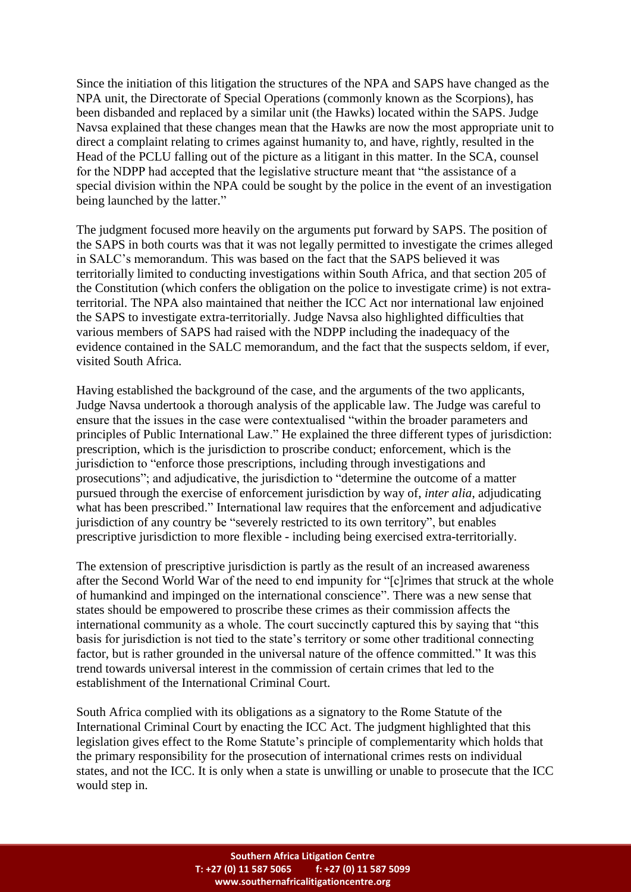Since the initiation of this litigation the structures of the NPA and SAPS have changed as the NPA unit, the Directorate of Special Operations (commonly known as the Scorpions), has been disbanded and replaced by a similar unit (the Hawks) located within the SAPS. Judge Navsa explained that these changes mean that the Hawks are now the most appropriate unit to direct a complaint relating to crimes against humanity to, and have, rightly, resulted in the Head of the PCLU falling out of the picture as a litigant in this matter. In the SCA, counsel for the NDPP had accepted that the legislative structure meant that "the assistance of a special division within the NPA could be sought by the police in the event of an investigation being launched by the latter."

The judgment focused more heavily on the arguments put forward by SAPS. The position of the SAPS in both courts was that it was not legally permitted to investigate the crimes alleged in SALC's memorandum. This was based on the fact that the SAPS believed it was territorially limited to conducting investigations within South Africa, and that section 205 of the Constitution (which confers the obligation on the police to investigate crime) is not extraterritorial. The NPA also maintained that neither the ICC Act nor international law enjoined the SAPS to investigate extra-territorially. Judge Navsa also highlighted difficulties that various members of SAPS had raised with the NDPP including the inadequacy of the evidence contained in the SALC memorandum, and the fact that the suspects seldom, if ever, visited South Africa.

Having established the background of the case, and the arguments of the two applicants, Judge Navsa undertook a thorough analysis of the applicable law. The Judge was careful to ensure that the issues in the case were contextualised "within the broader parameters and principles of Public International Law." He explained the three different types of jurisdiction: prescription, which is the jurisdiction to proscribe conduct; enforcement, which is the jurisdiction to "enforce those prescriptions, including through investigations and prosecutions"; and adjudicative, the jurisdiction to "determine the outcome of a matter pursued through the exercise of enforcement jurisdiction by way of, *inter alia*, adjudicating what has been prescribed." International law requires that the enforcement and adjudicative jurisdiction of any country be "severely restricted to its own territory", but enables prescriptive jurisdiction to more flexible - including being exercised extra-territorially.

The extension of prescriptive jurisdiction is partly as the result of an increased awareness after the Second World War of the need to end impunity for "[c]rimes that struck at the whole of humankind and impinged on the international conscience". There was a new sense that states should be empowered to proscribe these crimes as their commission affects the international community as a whole. The court succinctly captured this by saying that "this basis for jurisdiction is not tied to the state's territory or some other traditional connecting factor, but is rather grounded in the universal nature of the offence committed." It was this trend towards universal interest in the commission of certain crimes that led to the establishment of the International Criminal Court.

South Africa complied with its obligations as a signatory to the Rome Statute of the International Criminal Court by enacting the ICC Act. The judgment highlighted that this legislation gives effect to the Rome Statute's principle of complementarity which holds that the primary responsibility for the prosecution of international crimes rests on individual states, and not the ICC. It is only when a state is unwilling or unable to prosecute that the ICC would step in.

> **Southern Africa Litigation Centre T: +27 (0) 11 587 5065 f: +27 (0) 11 587 5099 www.southernafricalitigationcentre.org**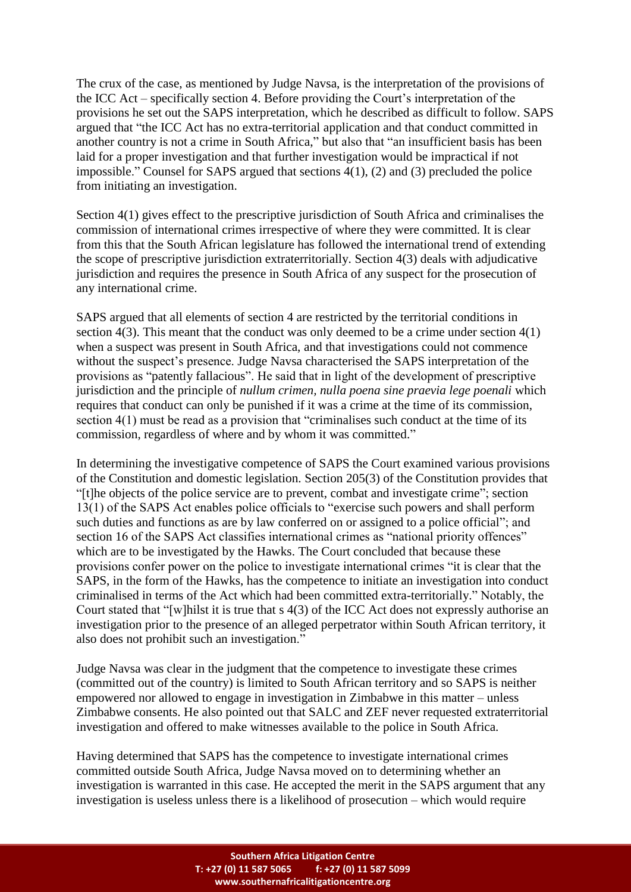The crux of the case, as mentioned by Judge Navsa, is the interpretation of the provisions of the ICC Act – specifically section 4. Before providing the Court's interpretation of the provisions he set out the SAPS interpretation, which he described as difficult to follow. SAPS argued that "the ICC Act has no extra-territorial application and that conduct committed in another country is not a crime in South Africa," but also that "an insufficient basis has been laid for a proper investigation and that further investigation would be impractical if not impossible." Counsel for SAPS argued that sections 4(1), (2) and (3) precluded the police from initiating an investigation.

Section 4(1) gives effect to the prescriptive jurisdiction of South Africa and criminalises the commission of international crimes irrespective of where they were committed. It is clear from this that the South African legislature has followed the international trend of extending the scope of prescriptive jurisdiction extraterritorially. Section 4(3) deals with adjudicative jurisdiction and requires the presence in South Africa of any suspect for the prosecution of any international crime.

SAPS argued that all elements of section 4 are restricted by the territorial conditions in section 4(3). This meant that the conduct was only deemed to be a crime under section 4(1) when a suspect was present in South Africa, and that investigations could not commence without the suspect's presence. Judge Navsa characterised the SAPS interpretation of the provisions as "patently fallacious". He said that in light of the development of prescriptive jurisdiction and the principle of *nullum crimen, nulla poena sine praevia lege poenali* which requires that conduct can only be punished if it was a crime at the time of its commission, section 4(1) must be read as a provision that "criminalises such conduct at the time of its commission, regardless of where and by whom it was committed."

In determining the investigative competence of SAPS the Court examined various provisions of the Constitution and domestic legislation. Section 205(3) of the Constitution provides that "[t]he objects of the police service are to prevent, combat and investigate crime"; section 13(1) of the SAPS Act enables police officials to "exercise such powers and shall perform such duties and functions as are by law conferred on or assigned to a police official"; and section 16 of the SAPS Act classifies international crimes as "national priority offences" which are to be investigated by the Hawks. The Court concluded that because these provisions confer power on the police to investigate international crimes "it is clear that the SAPS, in the form of the Hawks, has the competence to initiate an investigation into conduct criminalised in terms of the Act which had been committed extra-territorially." Notably, the Court stated that "[w]hilst it is true that s 4(3) of the ICC Act does not expressly authorise an investigation prior to the presence of an alleged perpetrator within South African territory, it also does not prohibit such an investigation."

Judge Navsa was clear in the judgment that the competence to investigate these crimes (committed out of the country) is limited to South African territory and so SAPS is neither empowered nor allowed to engage in investigation in Zimbabwe in this matter – unless Zimbabwe consents. He also pointed out that SALC and ZEF never requested extraterritorial investigation and offered to make witnesses available to the police in South Africa.

Having determined that SAPS has the competence to investigate international crimes committed outside South Africa, Judge Navsa moved on to determining whether an investigation is warranted in this case. He accepted the merit in the SAPS argument that any investigation is useless unless there is a likelihood of prosecution – which would require

> **Southern Africa Litigation Centre T: +27 (0) 11 587 5065 f: +27 (0) 11 587 5099 www.southernafricalitigationcentre.org**